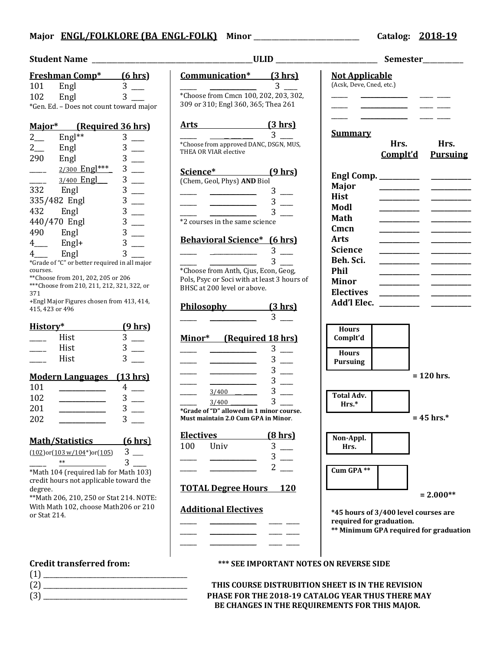# **Major ENGL/FOLKLORE (BA\_ENGL-FOLK) Minor** \_\_\_\_\_\_\_\_\_\_\_\_\_\_\_\_\_\_\_\_\_\_\_\_\_\_\_\_\_ **Catalog: 2018-19**

| <b>Student Name</b>                                                                |                                               |                |
|------------------------------------------------------------------------------------|-----------------------------------------------|----------------|
|                                                                                    | <b>Freshman Comp*</b>                         | (6 hrs)        |
| 101                                                                                | Engl                                          | 3              |
| 102 Engl                                                                           |                                               | 3              |
|                                                                                    | *Gen. Ed. - Does not count toward major       |                |
|                                                                                    |                                               |                |
| Major*                                                                             | (Required 36 hrs)                             |                |
| $2$ <sub>—</sub>                                                                   | Engl**                                        | 3              |
| $2\overline{a}$                                                                    | Engl                                          | 3              |
| 290                                                                                | Engl                                          | 3              |
|                                                                                    | 2/300 Engl***                                 | 3              |
|                                                                                    | 3/400 Engl                                    | 3              |
|                                                                                    | 332 Engl                                      | 3              |
|                                                                                    | 335/482 Engl                                  | 3              |
| 432                                                                                | Engl                                          | 3              |
|                                                                                    | 440/470 Engl                                  | 3              |
| 490 Engl                                                                           |                                               | 3              |
| $4 \equiv$                                                                         | Engl+                                         | 3              |
| $4$ <sub>---</sub>                                                                 | Engl                                          | 3              |
|                                                                                    | *Grade of "C" or better required in all major |                |
| courses.                                                                           |                                               |                |
| ** Choose from 201, 202, 205 or 206<br>*** Choose from 210, 211, 212, 321, 322, or |                                               |                |
| 371                                                                                |                                               |                |
| +Engl Major Figures chosen from 413, 414,<br>415, 423 or 496                       |                                               |                |
|                                                                                    |                                               |                |
| <u>Historv*</u>                                                                    |                                               | <u>(9 hrs)</u> |
|                                                                                    | Hist                                          | 3              |
|                                                                                    | Hist                                          | 3              |
|                                                                                    | Hist                                          | 3              |
|                                                                                    |                                               |                |
|                                                                                    | <b>Modern Languages</b> (13 hrs)              |                |
| 101                                                                                |                                               | 4              |
| 102                                                                                |                                               | 3              |
| 201                                                                                |                                               | 3              |
| 202                                                                                |                                               | 3              |
|                                                                                    |                                               |                |
|                                                                                    | <u>Math/Statistics</u>                        | <u>(6 hrs)</u> |
|                                                                                    | (102)or(103 w/104*)or(105)                    | 3              |
|                                                                                    | **                                            | 3              |
| *Math 104 (required lab for Math 103)                                              |                                               |                |
| credit hours not applicable toward the                                             |                                               |                |
| degree.<br>** Math 206, 210, 250 or Stat 214. NOTE:                                |                                               |                |
| With Math 102, choose Math206 or 210                                               |                                               |                |
| or Stat 214.                                                                       |                                               |                |
|                                                                                    |                                               |                |

#### **Credit transferred from: \*\*\* SEE IMPORTANT NOTES ON REVERSE SIDE Communication\* (3 hrs)**  $\overline{\mathbf{3}}$ \*Choose from Cmcn 100, 202, 203, 302, 309 or 310; Engl 360, 365; Thea 261 **Arts (3 hrs)**  $\frac{1}{\sqrt{3}}$  3 \*Choose from approved DANC, DSGN, MUS, THEA OR VIAR elective **Science\* (9 hrs)** (Chem, Geol, Phys) **AND** Biol  $\frac{1}{\sqrt{2\pi}}$   $\frac{1}{\sqrt{2\pi}}$   $\frac{3}{\sqrt{2\pi}}$  $\frac{1}{\sqrt{2}}$   $\frac{1}{\sqrt{2}}$   $\frac{1}{\sqrt{2}}$   $\frac{1}{\sqrt{2}}$   $\frac{1}{\sqrt{2}}$   $\frac{1}{\sqrt{2}}$   $\frac{1}{\sqrt{2}}$   $\frac{1}{\sqrt{2}}$   $\frac{1}{\sqrt{2}}$   $\frac{1}{\sqrt{2}}$   $\frac{1}{\sqrt{2}}$   $\frac{1}{\sqrt{2}}$   $\frac{1}{\sqrt{2}}$   $\frac{1}{\sqrt{2}}$   $\frac{1}{\sqrt{2}}$   $\frac{1}{\sqrt{2}}$   $\frac{1}{\sqrt{2}}$   $\frac{1}{\sqrt{3}}$   $\frac{1}{\sqrt{3}}$   $\frac{1}{\sqrt{3}}$   $\frac{1}{\sqrt{3}}$   $\frac{1}{\sqrt{3}}$   $\frac{1}{\sqrt{3}}$   $\frac{1}{\sqrt{3}}$   $\frac{1}{\sqrt{3}}$   $\frac{1}{\sqrt{3}}$   $\frac{1}{\sqrt{3}}$   $\frac{1}{\sqrt{3}}$   $\frac{1}{\sqrt{3}}$   $\frac{1}{\sqrt{3}}$   $\frac{1}{\sqrt{3}}$   $\frac{1}{\sqrt{3}}$   $\frac{1}{\sqrt{3}}$   $\frac{1}{\sqrt{3}}$  \*2 courses in the same science **Behavioral Science\* (6 hrs)**  $\frac{1}{\sqrt{3}}$   $\frac{1}{\sqrt{3}}$   $\frac{1}{\sqrt{3}}$   $\frac{1}{\sqrt{3}}$   $\frac{1}{\sqrt{3}}$   $\frac{1}{\sqrt{3}}$   $\frac{1}{\sqrt{3}}$   $\frac{1}{\sqrt{3}}$   $\frac{1}{\sqrt{3}}$   $\frac{1}{\sqrt{3}}$   $\frac{1}{\sqrt{3}}$   $\frac{1}{\sqrt{3}}$   $\frac{1}{\sqrt{3}}$   $\frac{1}{\sqrt{3}}$   $\frac{1}{\sqrt{3}}$   $\frac{1}{\sqrt{3}}$   $\frac{1}{\sqrt{3}}$   $\frac{1}{\sqrt{3}}$   $\frac{1}{\sqrt{3}}$   $\frac{1}{\sqrt{3}}$   $\frac{1}{\sqrt{3}}$   $\frac{1}{\sqrt{3}}$   $\frac{1}{\sqrt{3}}$   $\frac{1}{\sqrt{3}}$   $\frac{1}{\sqrt{3}}$   $\frac{1}{\sqrt{3}}$   $\frac{1}{\sqrt{3}}$   $\frac{1}{\sqrt{3}}$   $\frac{1}{\sqrt{3}}$   $\frac{1}{\sqrt{3}}$   $\frac{1}{\sqrt{3}}$   $\frac{1}{\sqrt{3}}$   $\frac{1}{\sqrt{3}}$   $\frac{1}{\sqrt{3}}$  \*Choose from Anth, Cjus, Econ, Geog, Pols, Psyc or Soci with at least 3 hours of BHSC at 200 level or above. **Philosophy (3 hrs)**  $3$   $\qquad$ **Minor\* (Required 18 hrs)** \_\_\_\_\_ \_\_\_\_\_\_\_\_\_\_\_\_\_\_ 3 \_\_\_\_  $3$   $\equiv$  $3$   $\equiv$  $\frac{3}{2}$  $\frac{3/400}{\sim}$  3 \_\_\_\_\_ 3/400 \_\_\_\_\_\_\_\_ 3 \_\_\_\_ **\*Grade of "D" allowed in 1 minor course. Must maintain 2.0 Cum GPA in Minor**. **Electives (8 hrs)** 100 Univ 3 \_\_\_\_\_  $3$   $\equiv$  $\frac{2}{\sqrt{2}}$   $\frac{2}{\sqrt{2}}$ **TOTAL Degree Hours 120 Additional Electives** \_\_\_\_\_ \_\_\_\_\_\_\_\_\_\_\_\_\_\_ \_\_\_\_ \_\_\_\_ \_\_\_\_\_ \_\_\_\_\_\_\_\_\_\_\_\_\_\_ \_\_\_\_ \_\_\_\_ \_\_\_\_\_ \_\_\_\_\_\_\_\_\_\_\_\_\_\_ \_\_\_\_ \_\_\_\_ **Not Applicable** (Acsk, Deve, Cned, etc.) \_\_\_\_\_ \_\_\_\_\_\_\_\_\_\_\_\_\_\_ \_\_\_\_ \_\_\_\_  $\sim$   $\sim$   $\sim$   $\sim$   $\sim$ \_\_\_\_\_ \_\_\_\_\_\_\_\_\_\_\_\_\_\_ \_\_\_\_ \_\_\_\_ **Summary Hrs. Hrs. Complt'd Pursuing Engl Comp. \_\_\_\_\_\_\_\_\_\_\_\_ \_\_\_\_\_\_\_\_\_\_\_\_ Major \_\_\_\_\_\_\_\_\_\_\_\_ \_\_\_\_\_\_\_\_\_\_\_\_ Hist \_\_\_\_\_\_\_\_\_\_\_\_ \_\_\_\_\_\_\_\_\_\_\_\_ Modl \_\_\_\_\_\_\_\_\_\_\_\_ \_\_\_\_\_\_\_\_\_\_\_\_ Math \_\_\_\_\_\_\_\_\_\_\_\_ \_\_\_\_\_\_\_\_\_\_\_\_ Cmcn \_\_\_\_\_\_\_\_\_\_\_\_ \_\_\_\_\_\_\_\_\_\_\_\_ Arts \_\_\_\_\_\_\_\_\_\_\_\_ \_\_\_\_\_\_\_\_\_\_\_\_ Science \_\_\_\_\_\_\_\_\_\_\_\_ \_\_\_\_\_\_\_\_\_\_\_\_ Beh. Sci. \_\_\_\_\_\_\_\_\_\_\_\_ \_\_\_\_\_\_\_\_\_\_\_\_ Phil \_\_\_\_\_\_\_\_\_\_\_\_ \_\_\_\_\_\_\_\_\_\_\_\_ Minor \_\_\_\_\_\_\_\_\_\_\_\_ \_\_\_\_\_\_\_\_\_\_\_\_ Electives \_\_\_\_\_\_\_\_\_\_\_\_ \_\_\_\_\_\_\_\_\_\_\_\_ Add'l Elec. \_\_\_\_\_\_\_\_\_\_\_\_ \_\_\_\_\_\_\_\_\_\_\_\_ Hours Complt'd Hours Pursuing = 120 hrs. Total Adv. Hrs.\* = 45 hrs.\* Non-Appl. Hrs. Cum GPA \*\* = 2.000\*\* \*45 hours of 3/400 level courses are required for graduation. \*\* Minimum GPA required for graduation**

**Student Name** \_\_\_\_\_\_\_\_\_\_\_\_\_\_\_\_\_\_\_\_\_\_\_\_\_\_\_\_\_\_\_\_\_\_\_\_\_\_\_\_\_\_\_\_**ULID** \_\_\_\_\_\_\_\_\_\_\_\_\_\_\_\_\_\_\_\_\_\_\_\_\_\_\_\_ **Semester**\_\_\_\_\_\_\_\_\_\_\_

(1) \_\_\_\_\_\_\_\_\_\_\_\_\_\_\_\_\_\_\_\_\_\_\_\_\_\_\_\_\_\_\_\_\_\_\_\_\_\_\_\_\_\_\_

# (2) \_\_\_\_\_\_\_\_\_\_\_\_\_\_\_\_\_\_\_\_\_\_\_\_\_\_\_\_\_\_\_\_\_\_\_\_\_\_\_\_\_\_\_ **THIS COURSE DISTRUBITION SHEET IS IN THE REVISION** (3) \_\_\_\_\_\_\_\_\_\_\_\_\_\_\_\_\_\_\_\_\_\_\_\_\_\_\_\_\_\_\_\_\_\_\_\_\_\_\_\_\_\_\_ **PHASE FOR THE 2018-19 CATALOG YEAR THUS THERE MAY BE CHANGES IN THE REQUIREMENTS FOR THIS MAJOR.**